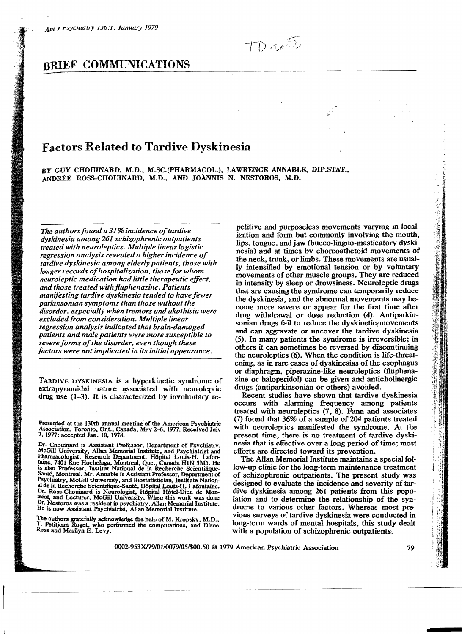TDutt

# **BRIEF COMMUNICATIONS**

# **Factors Related to Tardive Dyskinesia**

BY GUY CHOUINARD, M.D., M.SC.(PHARMACOL.), LAWHENCE ANNABLE, DIP.STAT., ANDREE ROSS-CHOUINARD. M.D., AND JOANNIS N. NESTOROS, M.D.

*The authors found a 31%incidence oftardive dyskinesia among* 261 *schizophrenic outpatients treated with neuroleptics. Multiple linear logistic*  regression analysis revealed a higher incidence of *tardive dyskinesia among elderly patients, those with longer records ofhospitalization, those for whom neuroleptic medication had little therapeutic effect, and those treated with fluphenazine. Patients manifesting tardive dyskinesia tended to have fewer parkinsonian symptoms than those without the disorder, especially when tremors and akathisia were excludedfrom consideration. Multiple linear regression analysis indicated that brain-damaged patients and male patients were more susceptible to severe forms ofthe disorder, even though these factors were not implicated in its initial appearance.* 

TARDlVE DYSKINESIA is a hyperkinetic syndiome of extrapyramidal nature associated with neuroleptic drug use (1-3). It is characterized by involuntary re-

The authors gratefully acknowledge the help of M. Kropsky, M.D., T. Petitjean Roget, who performed the computations, and Diane Ross and Marilyn E. Levy.

petitive and purposeless movements varying in local ization and form but commonly involving the mouth, lips, tongue, and jaw (bucco-linguo-masticatory dyskinesia) and at times by choreoathetoid movements of the neck, trunk, or limbs. These movements are usually intensified by emotional tension or by voluntary movements of other muscle groups. They are reduced in intensity by sleep or drowsiness. Neuroleptic drugs that are causing the syndrome can temporarily reduce the dyskinesia, and the abnormal movements may become more severe or appear for the first time after drug withdrawal or dose reduction (4). Antiparkinsonian drugs fail to reduce the dyskinetic movements and can aggravate or uncover the tardive dyskinesia (5). **In** many patients the syndrome is irreversible' in others it can sometimes be reversed by discontinuing the neuroleptics (6). When the condition is life-threatening, as in rare cases of dyskinesias of the esophagus or diaphragm, piperazine-like neuroleptics (fluphenazine or haloperidol) can be given and anticholinergic drugs (antiparkinsonian or others) avoided.

Recent studies have shown that tardive dyskinesia occurs with alarming frequency among patients treated with neuroleptics (7,.8). Fann and associates  $(7)$  found that 36% of a sample of 204 patients treated with neuroleptics manifested the syndrome. At the present time, there is no treatment of tardive dyskinesia that is effective over a long period of time; most efforts are directed toward its prevention.

The Allan Memorial Institute maintains a special follow-up clinic for the 10ng-term maintenance treatment of schizophrenic outpatients. The present study was designed to evaluate the incidence and severity of tardive dyskinesia among 261 patients from this population and to determine the relationship of the syndrome to various other factors. Whereas most previous surveys of tardive dyskinesia were conducted in long-term wards of mental hospitals, this study dealt with a population of schizophrenic outpatients.

- 『中国大学学生の大学』→『アニア』で、『アニア』で、『アニア』で、『アニア』で、『アニア』で、『アニア』で、『アニア』で、『アニア』で、『アニア』で、『アニア』(『『アニア』)』の『『アニア』(『

淳

Presented at the 130th annual meeting of the American Psychiatric Association, Toronto, Ont., Canada, May 2-6, 1977. Received July 7, 1977; accepted Jan. 10, 1978.

Dr. Chouinard is Assistant Professor, Department of Psychiatry McGill University, Allan Memorial Institute, and Psychiatrist and Pharmacologist, Research Department, Hôpital Louis-H. Lafontaine, 7401 Rue Hochelaga, Montreal, Que., Canada HIN 3M5. He<br>is also Professor, Institut National de la Recherche Scientifique-<br>Santé, Montreal. Mr. Annable is Assistant Professor, Department of Psychiatry, McGill University, and Biostatistician, Institute Nation-<br>al de la Recherche Scientifique-Santé, Hôpital Louis-H. Lafontaine. at de la Recherche Scientifique-Santé, Hôpital Louis-H. Lafontaine.<br>Dr. Ross-Chouinard is Neurologist, Hôpital Hôtel-Dieu de Mon-tréal, and Lecturer, McGill University. When this work was done Dr. Nestoros was a resident in psychiatry, Allan Memorial Institute. He is now Assistant Psychiatrist, Allan Memorial Institute.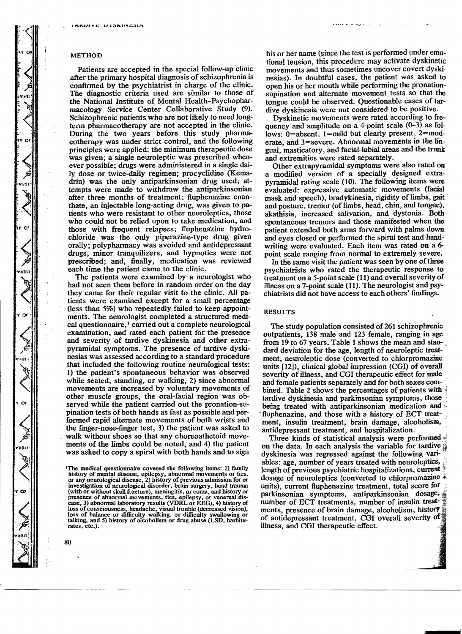## METHOD

Patients are accepted in the special follow-up clinic after the primary hospital diagnosis of schizophrenia is confirmed by the psychiatrist in charge of the clinic. The diagnostic criteria used are similar to those of the National Institute of Mental Health-Psychopharmacology Service Center Collaborative Study (9). Schizophrenic patients who are not likely to need longterm pharmacotherapy are not accepted in the clinic. During the two years before this study pharmacotherapy was under strict control, and the following principles were applied: the minimum therapeutic dose was given; a single neuroleptic was prescribed whenever possible; drugs were administered in a single daily dose or twice-daily regimen; procyclidine (Kemadrin) was the only antiparkinsonian drug used; attempts were made to withdraw the antiparkinsonian after three months of treatment; fluphenazine enanthate, an injectable long-acting drug, was given to patients who were resistant to other neuroleptics, those who could not be relied upon to take medication, and those with frequent relapses; fluphenazine hydrochloride was the only piperazine-type drug given orally; polypharmacy was avoided and antidepressant drugs; minor tranquilizers, and hypnotics were not prescribed; and, finally, medication was reviewed each time the patient came to the clinic.

The patients were examined by a neurologist who had not seen them before in random order on the day they came for their regular visit to the clinic. All patients were examined except for a smaIl percentage (less than 5%) who repeatedly failed to keep appointments. The neurologist completed a structured medical questionnaire, $\frac{1}{2}$  carried out a complete neurological examination, and rated each· patient for the presence and severity of tardive dyskinesia and other extrapyramidal symptoms. The presence of tardive dyski . nesias was assessed according to a standard procedure that included the following routine neurological tests: 1) the patient's spontaneous behavior was observed while seated, standing, or walking, 2) since abnormal movements are. increased by voluntary movements of other muscle groups, the oral-facial region was observed while the patient carried out the pronation-supination tests of both hands as fast as possible and performed rapid alternate movements of both wrists and the finger-nose-finger test, 3) the patient was asked to walk without shoes so that any choreoathetoid movements of the limbs could be noted, and 4) the patient was asked to copy a spiral with both hands and to sign

his or her name (since the test is performed under emotional tension, this procedure may activate dyskinetic movements and thus sometimes uncover covert dyskinesias). In doubtful cases, the patient was asked to open his or her mouth while performing the pronationsupination and alternate movement tests so that the tongue could be observed. Questionable cases of tardive dyskinesia were not considered to be positive.

Dyskinetic movements were rated according to frequency and amplitude on a 4-point scale  $(0-3)$  as follows: 0=absent, 1=mild but clearly present, 2=moderate, and 3=severe. Abnormal movements in the lingual, masticatory, and facial-labial areas and the trunk and extremities were rated separately.

Other extrapyramidal symptoms were also rated on a modified version of a specially designed extrapyramidal rating scale (10). The following items were evaluated: expressive automatic movements (facial mask and speech), bradykinesia, rigidity of limbs, gait and posture, tremor (of limbs, head, chin, and tongue), akathisia, increased salivation, and dystonia. Both spontaneous tremors and those manifested when the patient extended both arms forward with palms down and eyes closed or performed the spiral test and handwriting were evaluated. Each item was rated on a 6 point scale ranging from normal to extremely severe.

In the same visit the patient was seen by one of three psychiatrists who rated the therapeutic response to treatment on a S-point scale (11) and overall severity of illness on a 7-point scale (11). The neurologist and psychiatrists did not have access to each others' findings.

# RESULTS

The study population consisted of 261 schizophrenic outpatients, 138 male and 123 female, ranging in age from 19 to 67 years. Table 1 shows the mean and standard deviation for the age, length of neuroleptic treatment, neuroleptic dose (converted to chlorpromazine units [12]), clinical global impression (CGI) of overall severity of illness, and CGI therapeutic effect for male and female patients separately and for both sexes combined. Table 2 shows the percentages of patients with tardive dyskinesia and parkinsonian symptoms. those being treated with antiparkinsonian medication and '< fluphenazine, and those with a history of ECT treatment, insulin treatment, brain damage, alcoholism. antidepressant treatment, and hospitalization. .

Three kinds of statistical analysis were performed on the data. In each analysis the variable for tardive dyskinesia was regressed against the following variables: age, number of years treated with neuroleptics, length of previous psychiatric hospitalizations, current  $*$ dosage of neuroleptics (converted to chlorpromazine  $\ddot{\ast}$ units), current fluphenazine treatment, total score for parkinsonian symptoms, antiparkinsonian dosage,  $\frac{2}{3}$ number of ECT treatments, number of insulin treatments, presence of brain damage, alcoholism, history of antidepressant treatment, CGI overall severity of illness, and CGI therapeutic effect.

<sup>&</sup>lt;sup>1</sup>The medical questionnaire covered the following items: 1) family history of mental disease, epilepsy, abnormal movements or tics, or any neurological disease, 2) history of previous admission for or investigation of neurological disorder, brain surgery, head trauma<br>(with or without skull fracture), meningitis, or coma, and history or presence of abnormal movements, tics, epilepsy, or venereal disease, 3) abnormal laboratory results (VDRL or EEG), 4) history of loss of consciousness, headache, visual trouble (decreased vision), loss of balance or difficulty walking, or difficulty swallowing or talking, and 5) history of alcoholism or drug abuse (LSD, barbiturates, etc.).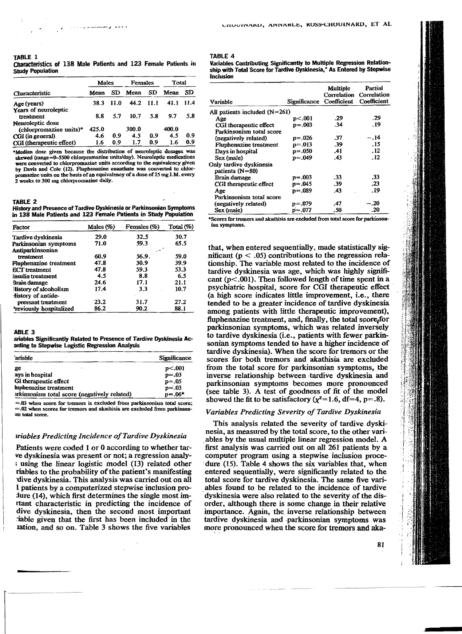# TABLE 1 Characteristics of 138 Male Patients and 123 Female Patients in StUdy Population

| Characteristic                    | Males |      | Females   |     | Total |      |
|-----------------------------------|-------|------|-----------|-----|-------|------|
|                                   | Mean  | SD   | Mean      | SD  | Mean  | SD   |
| Age (years)                       | 38.3  | 11.0 | 44.2 11.1 |     | 41.1  | 11.4 |
| Years of neuroleptic<br>treatment | 8.8   | 5.7  | 10.7      | 5.8 | 9.7   | 5.8  |
| Neuroleptic dose                  |       |      |           |     |       |      |
| $(chlororomazine units)*$         | 425.0 |      | 300.0     |     | 400.0 |      |
| CGI (in general)                  | 4.6   | 0.9  | 4.5       | 0.9 | 4.5   | 0.9  |
| CGI (therapeutic effect)          | 1.6   | 0.9  | 1.7       | 0.9 | 1.6   | 0.9  |

\*Median dose given because the distribution of neuroleptic dosages was skewed (range=0-5500 chlorpromazine units/day). Neuroleptic medications were converted to chlorpromazine units according to the equivalency given by Davis and Cole (12). Fluphenazine enanthate was converted to ehlor promazine units on the basis of an equivalency of a dose of 25 mg I.M. every 2 weeks to 300 mg chlotpromazine daily.

#### TABLE 2

History and Presence of Tardive Dyskinesia or Parkinsonian Symptoms In 138 Male Patients and 123 Female Patients in Study Population

| Factor                         | Males $(\%)$ | Females (%) | Total $(\%)$ |  |
|--------------------------------|--------------|-------------|--------------|--|
| Tardive dyskinesia             | 29.0         | 32.5        | 30.7         |  |
| Parkinsonian symptoms          | 71.0         | 59.3        | 65.5         |  |
| Antiparkinsonian               |              |             |              |  |
| treatment                      | $-60.9$      | 56.9.       | 59.0         |  |
| <b>Fluphenazine</b> treatment  | 47.8         | 30.9        | 39.9         |  |
| <b>ECT</b> treatment           | 47.8         | 59.3        | 53.3         |  |
| Insulin treatment              | 4.5          | 8.8         | 6.5          |  |
| Brain damage                   | 24.6         | 17.1        | 21.1         |  |
| History of alcoholism          | 17.4         | 3.3         | 10.7         |  |
| fistory of antide-             |              |             |              |  |
| pressant treatment             | 23.2         | 31.7        | 27.2         |  |
| <b>Previously hospitalized</b> | 86.2         | 90.2        | 88.1         |  |

#### ABLE 3

ariables Significantly Related to Presence of Tardive Dyskinesia Acprding to Stepwise Logistic Regression Analysis

| ariable                                      | Significance        |
|----------------------------------------------|---------------------|
| ge                                           | p<.001              |
| ays in hospital                              | $p = .03$           |
| GI therapeutic effect                        | $p = 0.05$          |
| luphenazine treatment                        |                     |
| arkinsonism total score (negatively related) | $p=.03$<br>$p=.06*$ |

'=.03 when score for tremors is excluded from parkinsonism total score;  $=$ .02 when scores for tremors and akathisia are excluded from parkinsonun total seote.

# *uiables Predicting Incidence a/Tardive Dyskinesia*

Patients were coded I or 0 according to whether tarve dyskinesia was present or not; a regression analy<sup>i</sup>using the linear logistic model (13) related other riables to the probability of the patient's manifesting -dive dyskinesia. This analysis was carried out on all 1 patients by a computerized stepwise inclusion pro- $\mu$  fure (14), which first determines the single most imrtant characteristic in predicting the incidence of dive dyskinesia, then the second most important .iable given that the first has been included in the lation, and so on. Table 3 shows the five variables

#### TABLE 4

Variables Contributing Significantly to Multiple Regression Relationship with Total Senre for Tardive Dyskinesia," As Entered by Stepwise Inclusion

| Variable                                   | Significance Coefficient | Multiple<br>Correlation | Partial<br>Correlation<br>Coefficient |
|--------------------------------------------|--------------------------|-------------------------|---------------------------------------|
| All patients included $(N=261)$            |                          |                         |                                       |
| Age                                        | p<.001                   | .29                     | -29                                   |
| CGI therapeutic effect                     | p=.003                   | .34                     | . 19                                  |
| Parkinsonism total score                   |                          |                         |                                       |
| (negatively related)                       | $p=.026$                 | .37                     | -- 14                                 |
| <b>Fluphenazine treatment</b>              | $p = .013$               | .39                     | .15                                   |
| Days in hospital                           | $p = .050$               | .41                     | . 12                                  |
| Sex (male)                                 | $p = .049$               | .43                     | .12                                   |
| Only tardive dyskinesia<br>patients (N=80) |                          |                         |                                       |
| Brain damage                               | p=.003                   | .33                     | .33                                   |
| CGI therapeutic effect                     | $p=.045$                 | .39                     | .23                                   |
| Age                                        | $p=.089$                 | .43                     | .19                                   |
| Parkinsonism total score                   |                          |                         |                                       |
| (negatively related)                       | $p=.079$                 | .47                     | $-.20$                                |
| Sex (male)                                 | $p = .077$               | .50                     | .20                                   |

\*Scores for tremors and akathisia are excluded from total score for parkinsonian symptoms.

that, when entered sequentially, made statistically significant ( $p < .05$ ) contributions to the regression relationship. The variable most related to the incidence of tardive dyskinesia was age, which was highly significant ( $p$ <.001). Then followed length of time spent in a psychiatric hospital. score for CGI therapeutic effect . (a high score indicates little improvement, i.e., there tended to be a greater incidence of tardive dyskinesia among patients with little therapeutic improvement), fluphenazine treatment, and, finally, the total score<sub>i</sub>for parkinsonian symptoms, which was related inversely to tardive dyskinesia (i.e., patients with fewer parkinsonian symptoms tended to have a higher incidence of tardive dyskinesia). When the score for tremors or the scores for both tremors and akathisia are excluded from the total score for parkinsonian symptoms, the inverse relationship between tardive dyskinesia and parkinsonian symptoms becomes more pronounced (see table 3). A test of goodness of fit of the model showed the fit to be satisfactory  $(\chi^2=1.6, df=4, p=.8)$ .

# *Variables Predicting Severity o/Tardive Dyskinesia*

This analysis related the severity of tardive dyskinesia, as measured by the total score, to the other vari ables by the usual multiple linear regression model. A first analysis was carried out on alI 261 patients by a computer program using a stepwise inclusion proce dure  $(15)$ . Table 4 shows the six variables that, when entered sequentially, were significantly related to the total score for tardive dyskinesia. The same five variables found to be related to the incidence of tardive dyskinesia were also related to the severity of the disorder, although there is some change in their relative importance. Again, the inverse relationship between tardive dyskinesia and .parkinsonian symptoms was more pronounced when the score for tremors and aka-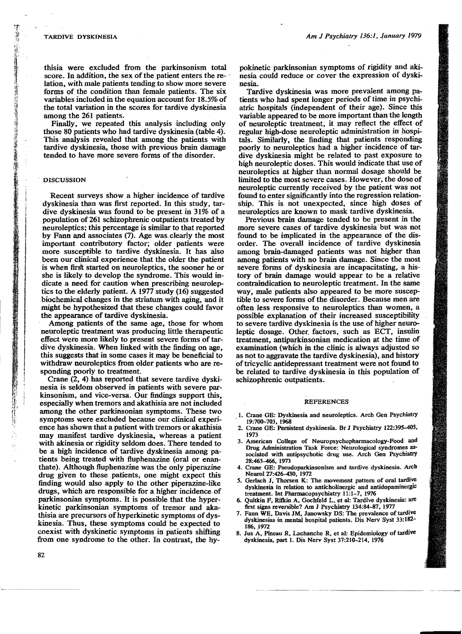thisia were excluded from the parkinsonism total score. In addition, the sex of the patient enters the re- $\cdot$ lation, with male patients tending to show more severe forms of the condition than female patients. The six variables included in the equation account for 18.5% of the total variation in the scores for tardive dyskinesia among the 261 patients.

Finally, we repeated this analysis including only those 80 patients who had tardive dyskinesia (table 4). This analysis revealed that among the patients with tardive dyskinesia, those with previous brain damage tended to have more severe forms of the disorder.

# . DISCUSSION

ie (m. 1946)<br>1940 - Antonio Alemania, filozof, filozof, filozof, filozof, filozof, filozof, filozof, filozof, filozof, filo

Recent surveys show a higher incidence of tardive dyskinesia than was first reported. In this study, tardive dyskinesia was found to be present in 31% of a popUlation of 261 schizophrenic outpatients treated by neuroleptics; this percentage is similar to that reported  $\begin{bmatrix} 1 & 1 \\ 1 & 1 \\ 1 & 1 \end{bmatrix}$ by Fann and associates (7). Age was. clearly the most important contributory factor; older patients were more susceptible to tardive dyskinesia. It has also been our clinical experience that the older the patient is when first started on neuroieptics, the sooner he or she is likely to develop the syndrome. This would indicate a need for caution when prescribing neuroleptics to the elderly patient. A 1977 study (16) suggested biochemical changes in the striatum with aging, and it might be hypothesized that these changes could favor the appearance of tardive dyskinesia.

Among patients of the same age, those for whom neuroleptic treatment was producing little therapeutic effect were more likely to present severe forms of tardive dyskinesia. When linked with the finding on age, this suggests that in some cases it may be beneficial to withdraw neuroleptics from older patients who are responding poorly to treatment.

Crane (2, 4) has reported that severe tardive dyskinesia is seldom observed in patients with severe parkinsonism. and vice-versa. Our findings support this, especially when tremors and akathisia are not included among the other parkinsonian symptoms. These two symptoms were excluded because our clinical experience has shown that a patient with tremors or akathisia may manifest tardive dyskinesia, whereas a patient with akinesia or rigidity seldom does. There tended to be a high incidence of tardive dyskinesia among patients being treated with fluphenazine (oral or enanthate). Although fluphenazine was the only piperazine drug given to these patients, one might expect this finding would also apply to the other piperazine-like drugs, which are responsible for a higher incidence of parkinsonian symptoms. It is possible that the hyperkinetic parkinsonian symptoms of tremor and akathisia are precursors of hyperkinetic symptoms of dyskinesia. Thus, these symptoms could be expected to coexist with dyskinetic symptoms in patients shifting from one syndrome to the other. In contrast, the hypokinetic parkinsonian symptoms of rigidity and akinesia could reduce or cover the expression of dyskinesia.

Tardive dyskinesia was more prevalent among patients who had spent longer periods of time in psychiatric hospitals (independent of their age). Since this variable appeared to be more important than the length of neuroleptic treatment, it may reflect the effect of regular high-dose neuroleptic administration in hospitals. Similarly, the finding that patients responding poorly to neuroleptics had a higher incidence of tardive dyskinesia might be related to past exposure to high neuroleptic doses. This would indicate that use of neuroleptics at higher than normal dosage should be limited to the most severe cases. However. the dose of neuroleptic currently received by the patient was not found to enter significantly into the regression relationship. This is not unexpected, since high doses of neuroleptics are known to mask tardive dyskinesia.

Previous brain damage tended to be present in the more severe cases of tardive dyskinesia· but was not found to be implicated in the appearance of the disorder. The overall incidence of tardive dyskinesia among brain-damaged patients was not higher than among patients with no brain damage. Since the most severe forms of dyskinesia are incapacitating, a history of brain damage would appear to be a relative contraindication to neuroleptic treatment. In the same way, male patients also appeared to be more susceptible to severe forms of the disorder. Because men are often less responsive to neuroleptics than women, a possible explanation of their increased susceptibility to severe tardive dyskinesia is the use of higher neuroleptic dosage. Other factors, such as ECT, insulin treatment, antiparkinsonian medication at the time of examination (which in the clinic is always adjusted so as not to aggravate the tardive dyskinesia), and history of tricyclic antidepressant treatment were not found to be related to tardive dyskinesia in this population of schizophrenic outpatients.

## REFERENCES

- 1. Crane GE: Dyskinesia and neuroleptics. Arch Gen Psychiatry 19:700-703, 1968
- 2. Crane GE: Persistent dyskinesia. Br 1 Psychiatry 122:395-405, 1973
- 3. American College of Neuropsychopharmacology-Food and Drug Administration Task Force: Neurological syndromes as sociated with antipsychotic drug use. Arch Gen PsychiatrY 28:463-466, 1973
- 4. Crane GE: Pseudoparkinsonism and tardive dyskinesia. Arch Neurol27:426-430, 1972
- 5. Gerlach J, Thorsen K: The movement pattern of oral tardive dyskinesia in relation to anticholinergic and antidopaminergic treatment. Int Pharmacopsychiatry 11:1-7, 1976
- 6. Quitkin F, Rifkin A, Gochfeld L, et al: Tardive dyskinesia: are first signs reversible? Am 1 Psychiatry 134:84-87, 1977
- 7. Fann WE, Davis JM, Janowsky DS: The prevalence of tardive dyskinesias in mental hospital patients. Dis Nerv Syst 33:182 186, 1972
- 8. Ius A. Pineau R, Lachanche R, et aI: Epidemiology of tardive dyskinesia, part 1. Dis Nerv Syst 37:210-214, 1976